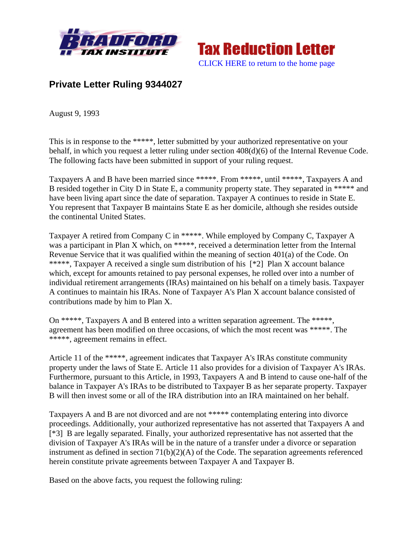



## **Private Letter Ruling 9344027**

August 9, 1993

This is in response to the \*\*\*\*\*, letter submitted by your authorized representative on your behalf, in which you request a letter ruling under section 408(d)(6) of the Internal Revenue Code. The following facts have been submitted in support of your ruling request.

Taxpayers A and B have been married since \*\*\*\*\*. From \*\*\*\*\*, until \*\*\*\*\*, Taxpayers A and B resided together in City D in State E, a community property state. They separated in \*\*\*\*\* and have been living apart since the date of separation. Taxpayer A continues to reside in State E. You represent that Taxpayer B maintains State E as her domicile, although she resides outside the continental United States.

Taxpayer A retired from Company C in \*\*\*\*\*. While employed by Company C, Taxpayer A was a participant in Plan X which, on \*\*\*\*\*, received a determination letter from the Internal Revenue Service that it was qualified within the meaning of section 401(a) of the Code. On \*\*\*\*\*, Taxpayer A received a single sum distribution of his [\*2] Plan X account balance which, except for amounts retained to pay personal expenses, he rolled over into a number of individual retirement arrangements (IRAs) maintained on his behalf on a timely basis. Taxpayer A continues to maintain his IRAs. None of Taxpayer A's Plan X account balance consisted of contributions made by him to Plan X.

On \*\*\*\*\*, Taxpayers A and B entered into a written separation agreement. The \*\*\*\*\*, agreement has been modified on three occasions, of which the most recent was \*\*\*\*\*. The \*\*\*\*\*, agreement remains in effect.

Article 11 of the \*\*\*\*\*, agreement indicates that Taxpayer A's IRAs constitute community property under the laws of State E. Article 11 also provides for a division of Taxpayer A's IRAs. Furthermore, pursuant to this Article, in 1993, Taxpayers A and B intend to cause one-half of the balance in Taxpayer A's IRAs to be distributed to Taxpayer B as her separate property. Taxpayer B will then invest some or all of the IRA distribution into an IRA maintained on her behalf.

Taxpayers A and B are not divorced and are not \*\*\*\*\* contemplating entering into divorce proceedings. Additionally, your authorized representative has not asserted that Taxpayers A and [\*3] B are legally separated. Finally, your authorized representative has not asserted that the division of Taxpayer A's IRAs will be in the nature of a transfer under a divorce or separation instrument as defined in section  $71(b)(2)(A)$  of the Code. The separation agreements referenced herein constitute private agreements between Taxpayer A and Taxpayer B.

Based on the above facts, you request the following ruling: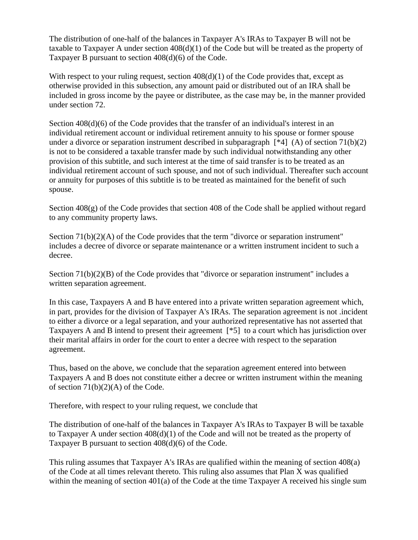The distribution of one-half of the balances in Taxpayer A's IRAs to Taxpayer B will not be taxable to Taxpayer A under section 408(d)(1) of the Code but will be treated as the property of Taxpayer B pursuant to section 408(d)(6) of the Code.

With respect to your ruling request, section  $408(d)(1)$  of the Code provides that, except as otherwise provided in this subsection, any amount paid or distributed out of an IRA shall be included in gross income by the payee or distributee, as the case may be, in the manner provided under section 72.

Section 408(d)(6) of the Code provides that the transfer of an individual's interest in an individual retirement account or individual retirement annuity to his spouse or former spouse under a divorce or separation instrument described in subparagraph  $[*4] (A)$  of section  $71(b)(2)$ is not to be considered a taxable transfer made by such individual notwithstanding any other provision of this subtitle, and such interest at the time of said transfer is to be treated as an individual retirement account of such spouse, and not of such individual. Thereafter such account or annuity for purposes of this subtitle is to be treated as maintained for the benefit of such spouse.

Section 408(g) of the Code provides that section 408 of the Code shall be applied without regard to any community property laws.

Section 71(b)(2)(A) of the Code provides that the term "divorce or separation instrument" includes a decree of divorce or separate maintenance or a written instrument incident to such a decree.

Section 71(b)(2)(B) of the Code provides that "divorce or separation instrument" includes a written separation agreement.

In this case, Taxpayers A and B have entered into a private written separation agreement which, in part, provides for the division of Taxpayer A's IRAs. The separation agreement is not .incident to either a divorce or a legal separation, and your authorized representative has not asserted that Taxpayers A and B intend to present their agreement [\*5] to a court which has jurisdiction over their marital affairs in order for the court to enter a decree with respect to the separation agreement.

Thus, based on the above, we conclude that the separation agreement entered into between Taxpayers A and B does not constitute either a decree or written instrument within the meaning of section  $71(b)(2)(A)$  of the Code.

Therefore, with respect to your ruling request, we conclude that

The distribution of one-half of the balances in Taxpayer A's IRAs to Taxpayer B will be taxable to Taxpayer A under section  $408(d)(1)$  of the Code and will not be treated as the property of Taxpayer B pursuant to section 408(d)(6) of the Code.

This ruling assumes that Taxpayer A's IRAs are qualified within the meaning of section 408(a) of the Code at all times relevant thereto. This ruling also assumes that Plan X was qualified within the meaning of section 401(a) of the Code at the time Taxpayer A received his single sum